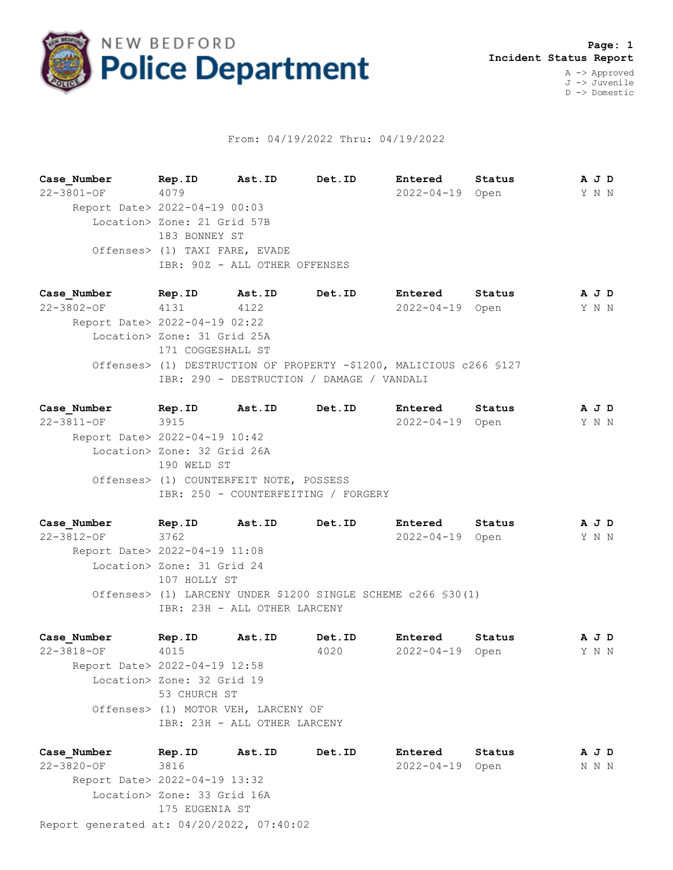

## From: 04/19/2022 Thru: 04/19/2022

**Case\_Number Rep.ID Ast.ID Det.ID Entered Status A J D** 22-3801-OF 4079 2022-04-19 Open Y N N Report Date> 2022-04-19 00:03 Location> Zone: 21 Grid 57B 183 BONNEY ST Offenses> (1) TAXI FARE, EVADE IBR: 90Z - ALL OTHER OFFENSES

**Case\_Number Rep.ID Ast.ID Det.ID Entered Status A J D** 22-3802-OF 4131 4122 2022-04-19 Open Y N N Report Date> 2022-04-19 02:22 Location> Zone: 31 Grid 25A 171 COGGESHALL ST Offenses> (1) DESTRUCTION OF PROPERTY -\$1200, MALICIOUS c266 §127 IBR: 290 - DESTRUCTION / DAMAGE / VANDALI

**Case\_Number Rep.ID Ast.ID Det.ID Entered Status A J D** 22-3811-OF 3915 2022-04-19 Open Y N N Report Date> 2022-04-19 10:42 Location> Zone: 32 Grid 26A 190 WELD ST Offenses> (1) COUNTERFEIT NOTE, POSSESS IBR: 250 - COUNTERFEITING / FORGERY

**Case\_Number Rep.ID Ast.ID Det.ID Entered Status A J D** 22-3812-OF 3762 2022-04-19 Open Y N N Report Date> 2022-04-19 11:08 Location> Zone: 31 Grid 24 107 HOLLY ST Offenses> (1) LARCENY UNDER \$1200 SINGLE SCHEME c266 §30(1) IBR: 23H - ALL OTHER LARCENY

**Case\_Number Rep.ID Ast.ID Det.ID Entered Status A J D** 22-3818-OF 4015 4020 2022-04-19 Open Y N N Report Date> 2022-04-19 12:58 Location> Zone: 32 Grid 19 53 CHURCH ST Offenses> (1) MOTOR VEH, LARCENY OF IBR: 23H - ALL OTHER LARCENY

Report generated at: 04/20/2022, 07:40:02 **Case\_Number Rep.ID Ast.ID Det.ID Entered Status A J D** 22-3820-OF 3816 2022-04-19 Open N N N Report Date> 2022-04-19 13:32 Location> Zone: 33 Grid 16A 175 EUGENIA ST